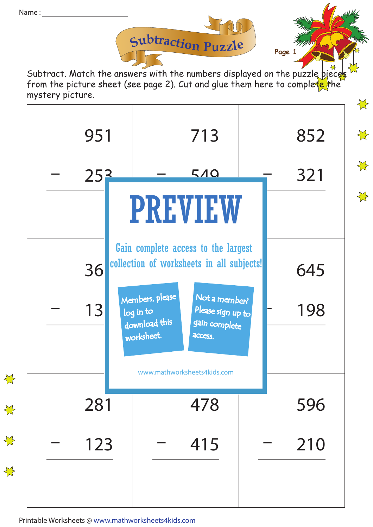

**Page 1**

Subtract. Match the answers with the numbers displayed on the puzzle pieces from the picture sheet (see page 2). Cut and glue them here to complete the mystery picture.



Printable Worksheets @ www.mathworksheets4kids.com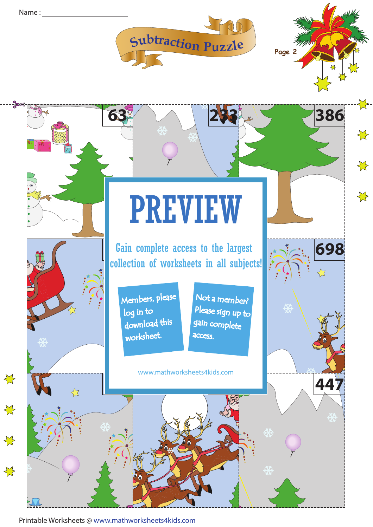





Printable Worksheets @ www.mathworksheets4kids.com **424 262 223 100**